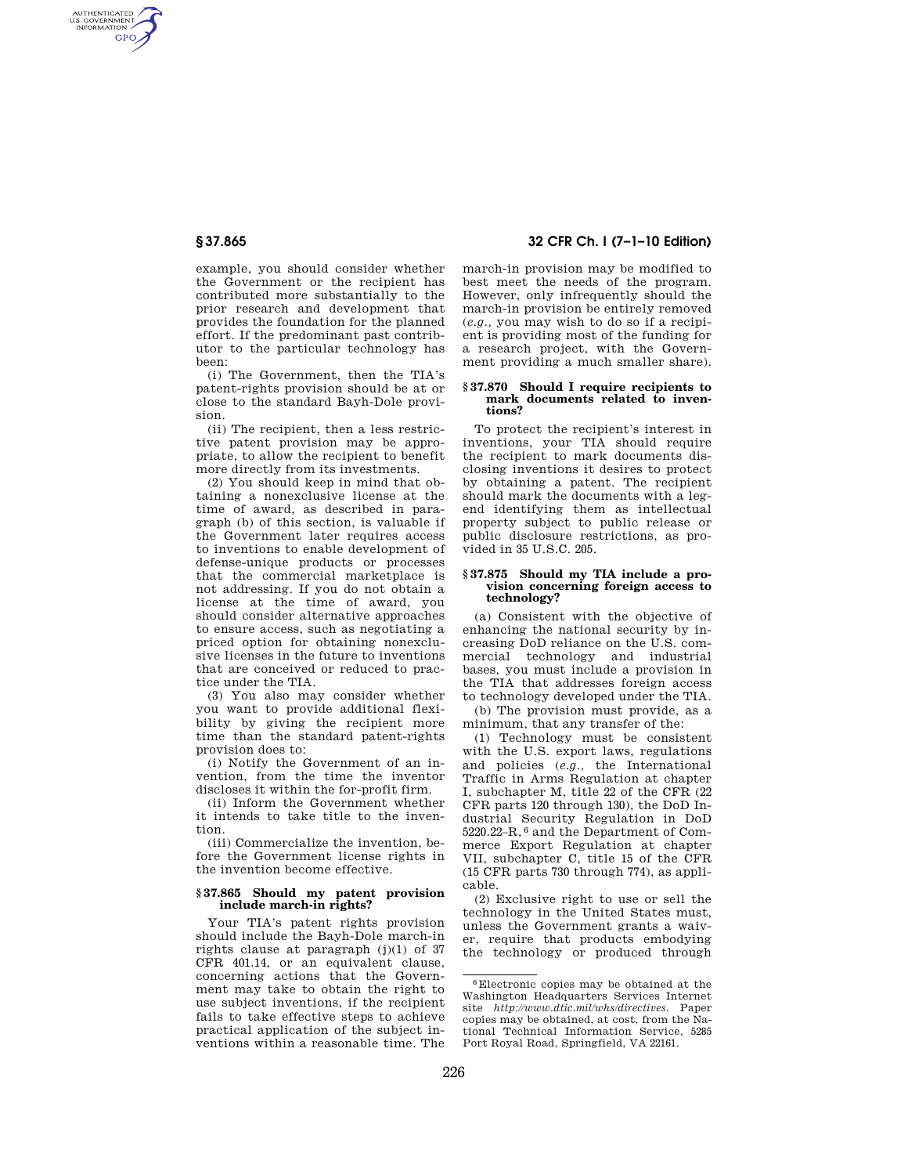AUTHENTICATED<br>U.S. GOVERNMENT<br>INFORMATION **GPO** 

> example, you should consider whether the Government or the recipient has contributed more substantially to the prior research and development that provides the foundation for the planned effort. If the predominant past contributor to the particular technology has been:

(i) The Government, then the TIA's patent-rights provision should be at or close to the standard Bayh-Dole provision.

(ii) The recipient, then a less restrictive patent provision may be appropriate, to allow the recipient to benefit more directly from its investments.

(2) You should keep in mind that obtaining a nonexclusive license at the time of award, as described in paragraph (b) of this section, is valuable if the Government later requires access to inventions to enable development of defense-unique products or processes that the commercial marketplace is not addressing. If you do not obtain a license at the time of award, you should consider alternative approaches to ensure access, such as negotiating a priced option for obtaining nonexclusive licenses in the future to inventions that are conceived or reduced to practice under the TIA.

(3) You also may consider whether you want to provide additional flexibility by giving the recipient more time than the standard patent-rights provision does to:

(i) Notify the Government of an invention, from the time the inventor discloses it within the for-profit firm.

(ii) Inform the Government whether it intends to take title to the invention.

(iii) Commercialize the invention, before the Government license rights in the invention become effective.

#### **§ 37.865 Should my patent provision include march-in rights?**

Your TIA's patent rights provision should include the Bayh-Dole march-in rights clause at paragraph (j)(1) of 37 CFR 401.14, or an equivalent clause, concerning actions that the Government may take to obtain the right to use subject inventions, if the recipient fails to take effective steps to achieve practical application of the subject inventions within a reasonable time. The

# **§ 37.865 32 CFR Ch. I (7–1–10 Edition)**

march-in provision may be modified to best meet the needs of the program. However, only infrequently should the march-in provision be entirely removed (*e.g.,* you may wish to do so if a recipient is providing most of the funding for a research project, with the Government providing a much smaller share).

#### **§ 37.870 Should I require recipients to**  mark documents related to inven**tions?**

To protect the recipient's interest in inventions, your TIA should require the recipient to mark documents disclosing inventions it desires to protect by obtaining a patent. The recipient should mark the documents with a legend identifying them as intellectual property subject to public release or public disclosure restrictions, as provided in 35 U.S.C. 205.

#### **§ 37.875 Should my TIA include a provision concerning foreign access to technology?**

(a) Consistent with the objective of enhancing the national security by increasing DoD reliance on the U.S. commercial technology and industrial bases, you must include a provision in the TIA that addresses foreign access to technology developed under the TIA.

(b) The provision must provide, as a minimum, that any transfer of the:

(1) Technology must be consistent with the U.S. export laws, regulations and policies (*e.g.,* the International Traffic in Arms Regulation at chapter I, subchapter M, title 22 of the CFR (22 CFR parts 120 through 130), the DoD Industrial Security Regulation in DoD 5220.22–R, 6 and the Department of Commerce Export Regulation at chapter VII, subchapter C, title 15 of the CFR (15 CFR parts 730 through 774), as applicable.

(2) Exclusive right to use or sell the technology in the United States must, unless the Government grants a waiver, require that products embodying the technology or produced through

<sup>6</sup>Electronic copies may be obtained at the Washington Headquarters Services Internet site *http://www.dtic.mil/whs/directives.* Paper copies may be obtained, at cost, from the National Technical Information Service, 5285 Port Royal Road, Springfield, VA 22161.